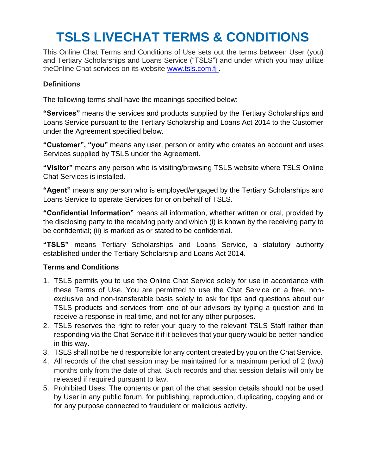## **TSLS LIVECHAT TERMS & CONDITIONS**

This Online Chat Terms and Conditions of Use sets out the terms between User (you) and Tertiary Scholarships and Loans Service ("TSLS") and under which you may utilize theOnline Chat services on its website [www.tsls.com.fj](http://www.tsls.com.fj/) .

## **Definitions**

The following terms shall have the meanings specified below:

**"Services"** means the services and products supplied by the Tertiary Scholarships and Loans Service pursuant to the Tertiary Scholarship and Loans Act 2014 to the Customer under the Agreement specified below.

**"Customer", "you"** means any user, person or entity who creates an account and uses Services supplied by TSLS under the Agreement.

**"Visitor"** means any person who is visiting/browsing TSLS website where TSLS Online Chat Services is installed.

**"Agent"** means any person who is employed/engaged by the Tertiary Scholarships and Loans Service to operate Services for or on behalf of TSLS.

**"Confidential Information"** means all information, whether written or oral, provided by the disclosing party to the receiving party and which (i) is known by the receiving party to be confidential; (ii) is marked as or stated to be confidential.

**"TSLS"** means Tertiary Scholarships and Loans Service, a statutory authority established under the Tertiary Scholarship and Loans Act 2014.

## **Terms and Conditions**

- 1. TSLS permits you to use the Online Chat Service solely for use in accordance with these Terms of Use. You are permitted to use the Chat Service on a free, nonexclusive and non-transferable basis solely to ask for tips and questions about our TSLS products and services from one of our advisors by typing a question and to receive a response in real time, and not for any other purposes.
- 2. TSLS reserves the right to refer your query to the relevant TSLS Staff rather than responding via the Chat Service it if it believes that your query would be better handled in this way.
- 3. TSLS shall not be held responsible for any content created by you on the Chat Service.
- 4. All records of the chat session may be maintained for a maximum period of 2 (two) months only from the date of chat. Such records and chat session details will only be released if required pursuant to law.
- 5. Prohibited Uses: The contents or part of the chat session details should not be used by User in any public forum, for publishing, reproduction, duplicating, copying and or for any purpose connected to fraudulent or malicious activity.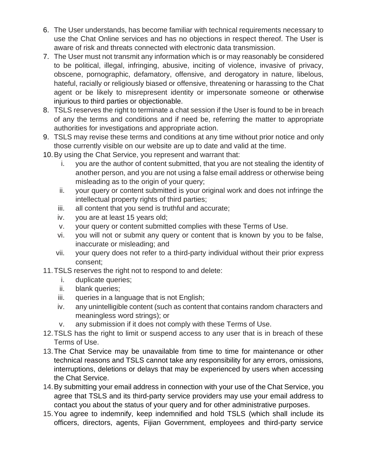- 6. The User understands, has become familiar with technical requirements necessary to use the Chat Online services and has no objections in respect thereof. The User is aware of risk and threats connected with electronic data transmission.
- 7. The User must not transmit any information which is or may reasonably be considered to be political, illegal, infringing, abusive, inciting of violence, invasive of privacy, obscene, pornographic, defamatory, offensive, and derogatory in nature, libelous, hateful, racially or religiously biased or offensive, threatening or harassing to the Chat agent or be likely to misrepresent identity or impersonate someone or otherwise injurious to third parties or objectionable.
- 8. TSLS reserves the right to terminate a chat session if the User is found to be in breach of any the terms and conditions and if need be, referring the matter to appropriate authorities for investigations and appropriate action.
- 9. TSLS may revise these terms and conditions at any time without prior notice and only those currently visible on our website are up to date and valid at the time.
- 10.By using the Chat Service, you represent and warrant that:
	- i. you are the author of content submitted, that you are not stealing the identity of another person, and you are not using a false email address or otherwise being misleading as to the origin of your query;
	- ii. your query or content submitted is your original work and does not infringe the intellectual property rights of third parties;
	- iii. all content that you send is truthful and accurate;
	- iv. you are at least 15 years old;
	- v. your query or content submitted complies with these Terms of Use.
	- vi. you will not or submit any query or content that is known by you to be false, inaccurate or misleading; and
	- vii. your query does not refer to a third-party individual without their prior express consent;
- 11.TSLS reserves the right not to respond to and delete:
	- i. duplicate queries;
	- ii. blank queries;
	- iii. queries in a language that is not English;
	- iv. any unintelligible content (such as content that contains random characters and meaningless word strings); or
	- v. any submission if it does not comply with these Terms of Use.
- 12.TSLS has the right to limit or suspend access to any user that is in breach of these Terms of Use.
- 13.The Chat Service may be unavailable from time to time for maintenance or other technical reasons and TSLS cannot take any responsibility for any errors, omissions, interruptions, deletions or delays that may be experienced by users when accessing the Chat Service.
- 14.By submitting your email address in connection with your use of the Chat Service, you agree that TSLS and its third-party service providers may use your email address to contact you about the status of your query and for other administrative purposes.
- 15.You agree to indemnify, keep indemnified and hold TSLS (which shall include its officers, directors, agents, Fijian Government, employees and third-party service